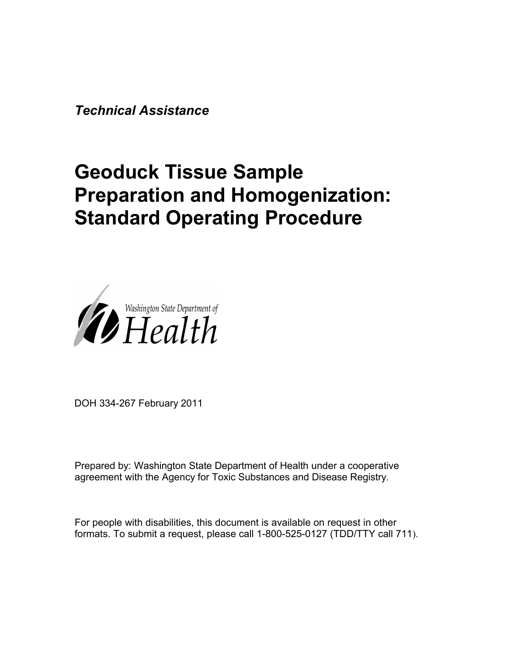*Technical Assistance*

# **Geoduck Tissue Sample Preparation and Homogenization: Standard Operating Procedure**



DOH 334-267 February 2011

Prepared by: Washington State Department of Health under a cooperative agreement with the Agency for Toxic Substances and Disease Registry.

For people with disabilities, this document is available on request in other formats. To submit a request, please call 1-800-525-0127 (TDD/TTY call 711).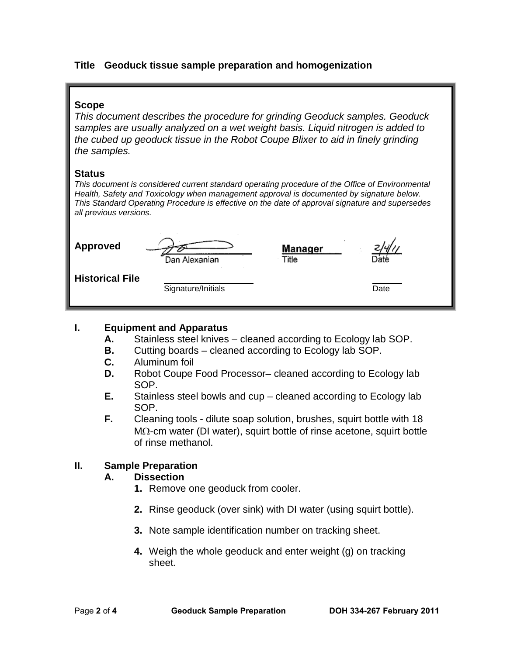# **Title Geoduck tissue sample preparation and homogenization**

# **Scope**

*This document describes the procedure for grinding Geoduck samples. Geoduck samples are usually analyzed on a wet weight basis. Liquid nitrogen is added to the cubed up geoduck tissue in the Robot Coupe Blixer to aid in finely grinding the samples.*

#### **Status**

*This document is considered current standard operating procedure of the Office of Environmental Health, Safety and Toxicology when management approval is documented by signature below. This Standard Operating Procedure is effective on the date of approval signature and supersedes all previous versions.*

| <b>Approved</b>        | Dan Alexanian      | Manager<br>Title | Jaté |
|------------------------|--------------------|------------------|------|
| <b>Historical File</b> | Signature/Initials |                  | Date |

# **I. Equipment and Apparatus**

- **A.** Stainless steel knives cleaned according to Ecology lab SOP.
- **B.** Cutting boards cleaned according to Ecology lab SOP.<br>**C.** Aluminum foil
- **C.** Aluminum foil
- **D.** Robot Coupe Food Processor– cleaned according to Ecology lab SOP.
- **E.** Stainless steel bowls and cup cleaned according to Ecology lab SOP.
- **F.** Cleaning tools dilute soap solution, brushes, squirt bottle with 18 MΩ-cm water (DI water), squirt bottle of rinse acetone, squirt bottle of rinse methanol.

# **II. Sample Preparation**

#### **A. Dissection**

- **1.** Remove one geoduck from cooler.
- **2.** Rinse geoduck (over sink) with DI water (using squirt bottle).
- **3.** Note sample identification number on tracking sheet.
- **4.** Weigh the whole geoduck and enter weight (g) on tracking sheet.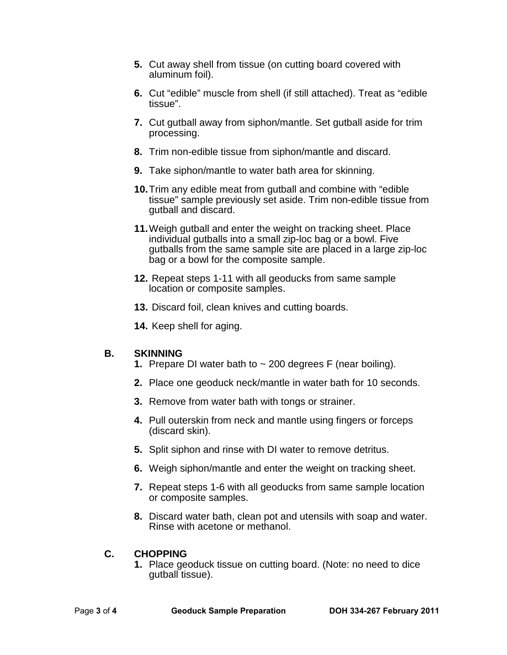- **5.** Cut away shell from tissue (on cutting board covered with aluminum foil).
- **6.** Cut "edible" muscle from shell (if still attached). Treat as "edible tissue".
- **7.** Cut gutball away from siphon/mantle. Set gutball aside for trim processing.
- **8.** Trim non-edible tissue from siphon/mantle and discard.
- **9.** Take siphon/mantle to water bath area for skinning.
- **10.**Trim any edible meat from gutball and combine with "edible tissue" sample previously set aside. Trim non-edible tissue from gutball and discard.
- **11.**Weigh gutball and enter the weight on tracking sheet. Place individual gutballs into a small zip-loc bag or a bowl. Five gutballs from the same sample site are placed in a large zip-loc bag or a bowl for the composite sample.
- **12.** Repeat steps 1-11 with all geoducks from same sample location or composite samples.
- **13.** Discard foil, clean knives and cutting boards.
- **14.** Keep shell for aging.

# **B. SKINNING**

- **1.** Prepare DI water bath to ~ 200 degrees F (near boiling).
- **2.** Place one geoduck neck/mantle in water bath for 10 seconds.
- **3.** Remove from water bath with tongs or strainer.
- **4.** Pull outerskin from neck and mantle using fingers or forceps (discard skin).
- **5.** Split siphon and rinse with DI water to remove detritus.
- **6.** Weigh siphon/mantle and enter the weight on tracking sheet.
- **7.** Repeat steps 1-6 with all geoducks from same sample location or composite samples.
- **8.** Discard water bath, clean pot and utensils with soap and water. Rinse with acetone or methanol.

# **C. CHOPPING**

**1.** Place geoduck tissue on cutting board. (Note: no need to dice gutball tissue).